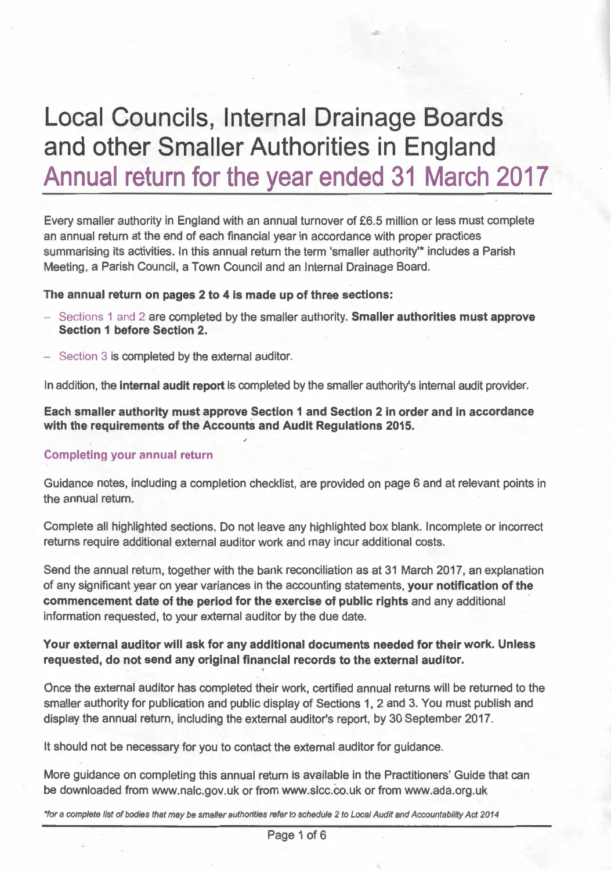# **Local Councils, Internal Drainage Boards· and other Smaller Authorities in England Annual return for the year ended 31 March 2017**

Every smaller authority in England with an annual turnover of £6.5 million or less must complete an annual return at the end of each financial year in accordance with proper practices summarising its activities. In this annual return the term 'smaller authority'\* includes a Parish Meeting, a Parish Council, a Town Council and an Internal Drainage Board.

#### **The annual return on pages 2 to 4 is made up of three sections:**

- Sections 1 and 2 are completed by the smaller authority. **Smaller authorities must approve Section 1 before Section 2.**
- Section 3 is completed by the external auditor.

In addition, the **internal audit report** is completed by the smaller authority's internal audit provider.

**Each smaller authority must approve Section 1 and Section 2 in order and in accordance with the requirements of the Accounts and Audit Regulations 2015.** 

#### **Completing your annual return**

Guidance notes, including a completion checklist, are provided on page 6 and at relevant points in the annual return.

Complete all highlighted sections. Do not leave any highlighted box blank. Incomplete or incorrect returns require additional external auditor work and may incur additional costs.

Send the annual return, together with the bank reconciliation as at 31 March 2017, an explanation of any significant year on year variances in the accounting statements, **your notification of the commencement date of the period for the exercise of public rights** and any additional information requested, to your external auditor by the due date.

#### **Your external auditor will ask for any additional documents needed for their work. Unless requested, do not send any original financial records to the external auditor.**

Once the external auditor has completed their work, certified annual returns will be returned to the smaller authority for publication and public display of Sections 1, 2 and 3. You must publish and display the annual return, including the external auditor's report, by 30 September 2017.

It should not be necessary for you to contact the external auditor for guidance.

More guidance on completing this annual return is available in the Practitioners' Guide that can be downloaded from www.nalc.gov.uk or from www.slcc.co.uk or from www.ada.org.uk

\*for a complete list of bodies that may be smaller authorities refer to schedule 2 to Local Audit and Accountability Act 2014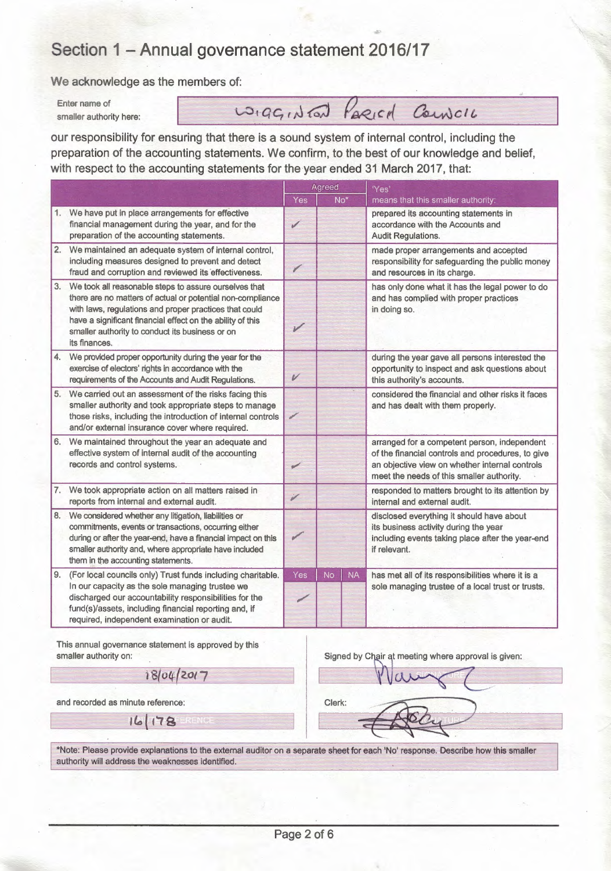### Section 1 - Annual governance statement 2016/17

We acknowledge as the members of:

Enter name of smaller authority here:

wigginfat Paried Council

our responsibility for ensuring that there is a sound system of internal control, including the preparation of the accounting statements. We confirm, to the best of our knowledge and belief, with respect to the accounting statements for the year ended 31 March 2017, that:

|    |                                                                                                                                                                                                                                                                                                                 |     |           |                 | with respect to the accounting statements for the year ended 31 March 2017, that:                                                                                                                |  |
|----|-----------------------------------------------------------------------------------------------------------------------------------------------------------------------------------------------------------------------------------------------------------------------------------------------------------------|-----|-----------|-----------------|--------------------------------------------------------------------------------------------------------------------------------------------------------------------------------------------------|--|
|    |                                                                                                                                                                                                                                                                                                                 | Yes | Agreed    | No <sup>*</sup> | 'Yes'<br>means that this smaller authority:                                                                                                                                                      |  |
|    | 1. We have put in place arrangements for effective<br>financial management during the year, and for the<br>preparation of the accounting statements.                                                                                                                                                            | ✔   |           |                 | prepared its accounting statements in<br>accordance with the Accounts and<br><b>Audit Regulations.</b>                                                                                           |  |
|    | 2. We maintained an adequate system of internal control,<br>including measures designed to prevent and detect<br>fraud and corruption and reviewed its effectiveness.                                                                                                                                           |     |           |                 | made proper arrangements and accepted<br>responsibility for safeguarding the public money<br>and resources in its charge.                                                                        |  |
| 3. | We took all reasonable steps to assure ourselves that<br>there are no matters of actual or potential non-compliance<br>with laws, regulations and proper practices that could<br>have a significant financial effect on the ability of this<br>smaller authority to conduct its business or on<br>its finances. | V   |           |                 | has only done what it has the legal power to do<br>and has complied with proper practices<br>in doing so.                                                                                        |  |
| 4. | We provided proper opportunity during the year for the<br>exercise of electors' rights in accordance with the<br>requirements of the Accounts and Audit Regulations.                                                                                                                                            | V   |           |                 | during the year gave all persons interested the<br>opportunity to inspect and ask questions about<br>this authority's accounts.                                                                  |  |
|    | 5. We carried out an assessment of the risks facing this<br>smaller authority and took appropriate steps to manage<br>those risks, including the introduction of internal controls<br>and/or external insurance cover where required.                                                                           | ✓   |           |                 | considered the financial and other risks it faces<br>and has dealt with them properly.                                                                                                           |  |
| 6. | We maintained throughout the year an adequate and<br>effective system of internal audit of the accounting<br>records and control systems.                                                                                                                                                                       | v   |           |                 | arranged for a competent person, independent<br>of the financial controls and procedures, to give<br>an objective view on whether internal controls<br>meet the needs of this smaller authority. |  |
|    | 7. We took appropriate action on all matters raised in<br>reports from internal and external audit.                                                                                                                                                                                                             | ý   |           |                 | responded to matters brought to its attention by<br>internal and external audit.                                                                                                                 |  |
|    | 8. We considered whether any litigation, liabilities or<br>commitments, events or transactions, occurring either<br>during or after the year-end, have a financial impact on this<br>smaller authority and, where appropriate have included<br>them in the accounting statements.                               | ✔   |           |                 | disclosed everything it should have about<br>its business activity during the year<br>including events taking place after the year-end<br>if relevant.                                           |  |
| 9. | (For local councils only) Trust funds including charitable.<br>In our capacity as the sole managing trustee we<br>discharged our accountability responsibilities for the<br>fund(s)/assets, including financial reporting and, if<br>required, independent examination or audit.                                | Yes | <b>No</b> | <b>NA</b>       | has met all of its responsibilities where it is a<br>sole managing trustee of a local trust or trusts.                                                                                           |  |

This annual governance statement is approved by this smaller authority on:

18/04/2017

Signed by Chair at meeting where approval is given:

and recorded as minute reference:

 $16$ 

 $\mathbf{R}$ 

Clerk:

\*Note: Please provide explanations to the external auditor on a separate sheet for each 'No' response. Describe how this smaller authority will address the weaknesses identified.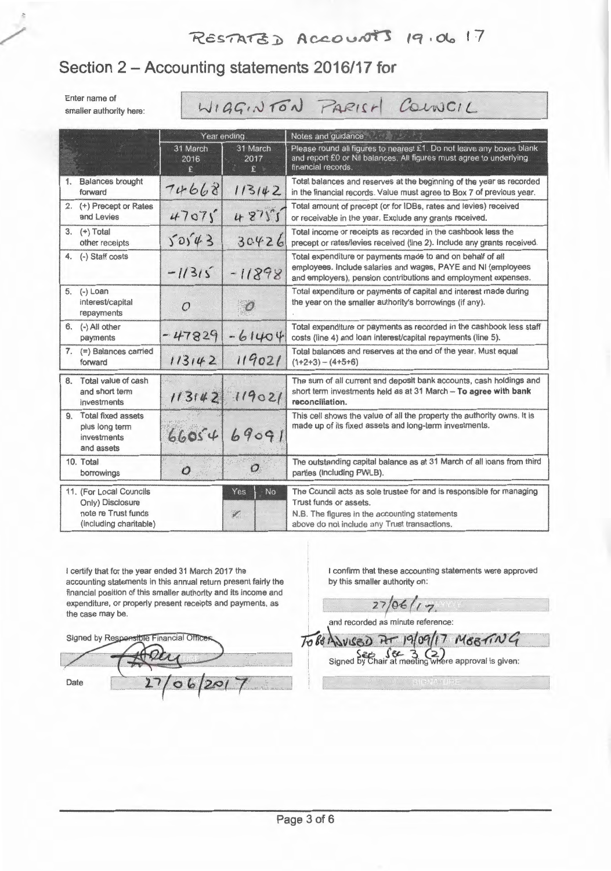## $R\epsilon$ sTATZD Accounts 19.06 17

#### Section 2 - Accounting statements 2016/17 for

Enter name of smaller authority here: WIGGINTON PARISH COUNCIL

|    |                                                                                              | Year ending      |                           | Notes and guidance                                                                                                                                                                              |  |  |
|----|----------------------------------------------------------------------------------------------|------------------|---------------------------|-------------------------------------------------------------------------------------------------------------------------------------------------------------------------------------------------|--|--|
|    |                                                                                              | 31 March<br>2016 | 31 March<br>2017<br>£     | Please round all figures to nearest £1. Do not leave any boxes blank<br>and report £0 or Nil balances. All figures must agree to underlying<br>financial records.                               |  |  |
| 1. | <b>Balances brought</b><br>forward                                                           | 74668            | 113142                    | Total balances and reserves at the beginning of the year as recorded<br>in the financial records. Value must agree to Box 7 of previous year.                                                   |  |  |
|    | 2. (+) Precept or Rates<br>and Levies                                                        | 47075            | 48755                     | Total amount of precept (or for IDBs, rates and levies) received<br>or receivable in the year. Exclude any grants received.                                                                     |  |  |
|    | 3. $(+)$ Total<br>other receipts                                                             | 50543            | 30426                     | Total income or receipts as recorded in the cashbook less the<br>precept or rates/levies received (line 2). Include any grants received.                                                        |  |  |
| 4. | (-) Staff costs                                                                              | $-1/315$         | $-11898$                  | Total expenditure or payments made to and on behalf of all<br>employees. Include salaries and wages, PAYE and NI (employees<br>and employers), pension contributions and employment expenses.   |  |  |
|    | 5. (-) Loan<br>interest/capital<br>repayments                                                | $\mathcal{O}$    |                           | Total expenditure or payments of capital and interest made during<br>the year on the smaller authority's borrowings (if any).                                                                   |  |  |
| 6. | (-) All other<br>payments                                                                    | $-47829$         | $-61404$                  | Total expenditure or payments as recorded in the cashbook less staff<br>costs (line 4) and loan interest/capital repayments (line 5).                                                           |  |  |
|    | 7. $(=\nabla)$ Balances carried<br>forward                                                   | 113142           | 119021                    | Total balances and reserves at the end of the year. Must equal<br>$(1+2+3) - (4+5+6)$                                                                                                           |  |  |
| 8. | Total value of cash<br>and short term<br>investments                                         | 113142           | 119021                    | The sum of all current and deposit bank accounts, cash holdings and<br>short term investments held as at 31 March -- To agree with bank<br>reconciliation.                                      |  |  |
| 9. | Total fixed assets<br>plus long term<br>investments<br>and assets                            | 66054            | 69091                     | This cell shows the value of all the property the authority owns. It is<br>made up of its fixed assets and long-term investments.                                                               |  |  |
|    | 10. Total<br>borrowings                                                                      | $\mathcal{O}$    | Gund<br>$\circ$           | The outstanding capital balance as at 31 March of all loans from third<br>parties (including PWLB).                                                                                             |  |  |
|    | 11. (For Local Councils<br>Only) Disclosure<br>note re Trust funds<br>(including charitable) |                  | Yes<br>No<br>$\mathbf{z}$ | The Council acts as sole trustee for and is responsible for managing<br>Trust funds or assets.<br>N.B. The figures in the accounting statements<br>above do not include any Trust transactions. |  |  |

I certify that for the year ended 31 March 2017 the accounting statements in this annual return present fairly the financial position of this smaller authority and its income and expenditure, or properly present receipts and payments, as the case may be.

 $06$ 

 $201$ 

Signed by Respo **Die Financial Offic** 

Date

I confirm that these accounting statements were approved by this smaller authority on:

 $27/06/17.$ 

 $T_0$  BO ANVISED AT 19/09/17 MEETING

Signed by Chair at meeting where approval is given:

and recorded as minute reference:

**Page** 3 of 6

in distant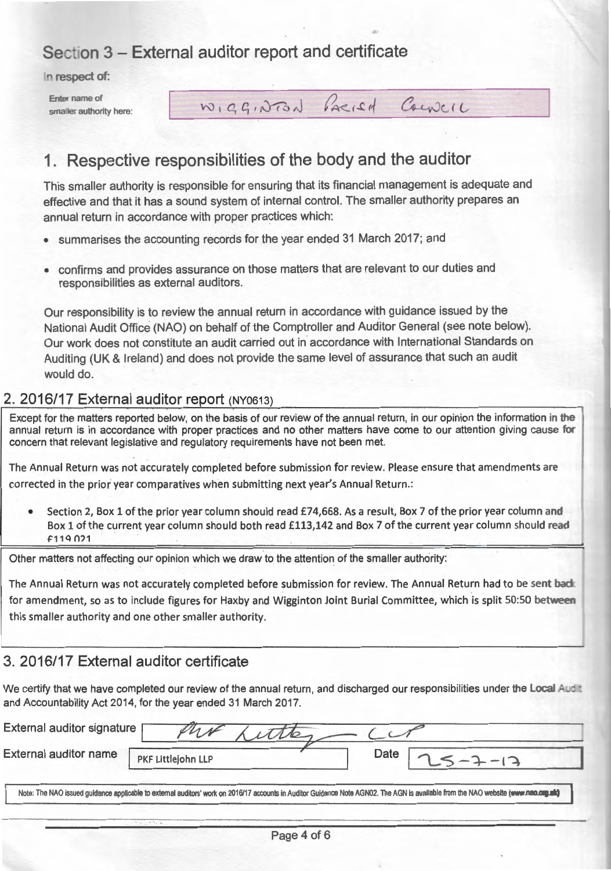### **Section 3 - External auditor report and certificate**

In respect of:

Friter name of smaller authority here: WIGGINTON PARIEN COUNCIL

#### **1. Respective responsibilities of the body and the auditor**

This smaller authority is responsible for ensuring that its financial management is adequate and effective and that it has a sound system of internal control. The smaller authority prepares an annual return in accordance with proper practices which:

- summarises the accounting records for the year ended 31 March 2017; and
- confirms and provides assurance on those matters that are relevant to our duties and responsibilities as external auditors.

Our responsibility is to review the annual return in accordance with guidance issued by the National Audit Office (NAO) on behalf of the Comptroller and Auditor General (see note below). Our work does not constitute an audit carried out in accordance with International Standards on Auditing (UK & Ireland) and does not provide the same level of assurance that such an audit would do.

#### **2. 2016/17 External auditor report** (NY0613)

Except for the matters reported below, on the basis of our review of the annual return, in our opinion the information in the annual return is in accordance with proper practices and no other matters have come to our attention giving cause for concern that relevant legislative and regulatory requirements have not been met.

The Annual Return was not accurately completed before submission for review. Please ensure that amendments are corrected in the prior year comparatives when submitting next year's Annual Return .:

Section 2, Box 1 of the prior year column should read £74,668. As a result, Box 7 of the prior year column and Box 1 of the current year column should both read £113,142 and Box 7 of the current year column should read f11Q 0?1

Other matters not affecting our opinion which we draw to the attention of the smaller authority:

The Annual Return was not accurately completed before submission for review. The Annual Return had to be sent back for amendment, so as to include figures for Haxby and Wigginton Joint Burial Committee, which is split 50:50 between this smaller authority and one other smaller authority.

 $\mathcal I$ 

#### **3. 2016/17 External auditor certificate**

We certify that we have completed our review of the annual return, and discharged our responsibilities under the Local Audit and Accountability Act 2014, for the year ended 31 March 2017.

| External auditor name | PKF Littlejohn LLP | Date |  |
|-----------------------|--------------------|------|--|
|-----------------------|--------------------|------|--|